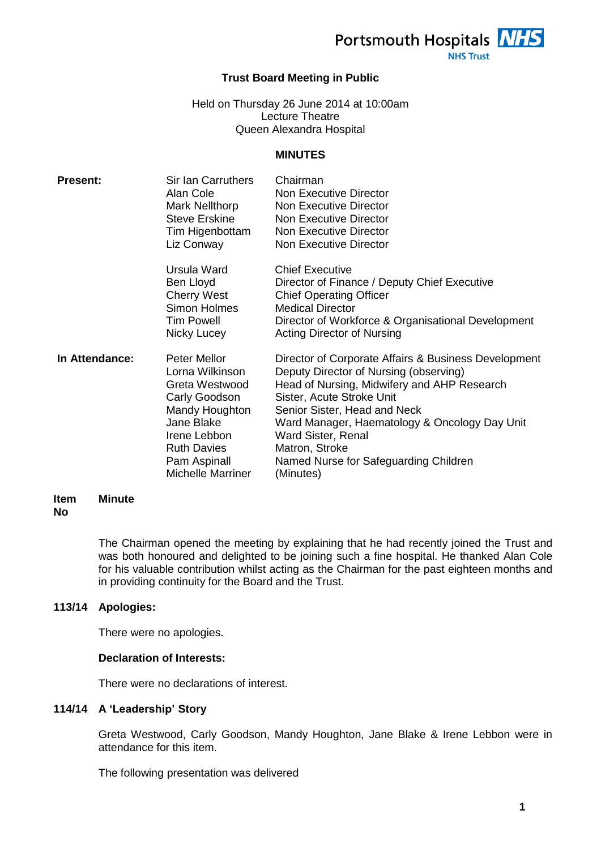Portsmouth Hospitals NHS

### **NHS Trust**

# **Trust Board Meeting in Public**

Held on Thursday 26 June 2014 at 10:00am Lecture Theatre Queen Alexandra Hospital

### **MINUTES**

| <b>Present:</b> | Sir Ian Carruthers<br>Alan Cole<br>Mark Nellthorp<br><b>Steve Erskine</b><br>Tim Higenbottam<br>Liz Conway                                                                           | Chairman<br><b>Non Executive Director</b><br>Non Executive Director<br>Non Executive Director<br>Non Executive Director<br>Non Executive Director                                                                                                                                                                                                         |
|-----------------|--------------------------------------------------------------------------------------------------------------------------------------------------------------------------------------|-----------------------------------------------------------------------------------------------------------------------------------------------------------------------------------------------------------------------------------------------------------------------------------------------------------------------------------------------------------|
|                 | Ursula Ward<br>Ben Lloyd<br><b>Cherry West</b><br>Simon Holmes<br><b>Tim Powell</b><br>Nicky Lucey                                                                                   | <b>Chief Executive</b><br>Director of Finance / Deputy Chief Executive<br><b>Chief Operating Officer</b><br><b>Medical Director</b><br>Director of Workforce & Organisational Development<br>Acting Director of Nursing                                                                                                                                   |
| In Attendance:  | Peter Mellor<br>Lorna Wilkinson<br>Greta Westwood<br>Carly Goodson<br>Mandy Houghton<br>Jane Blake<br>Irene Lebbon<br><b>Ruth Davies</b><br>Pam Aspinall<br><b>Michelle Marriner</b> | Director of Corporate Affairs & Business Development<br>Deputy Director of Nursing (observing)<br>Head of Nursing, Midwifery and AHP Research<br>Sister, Acute Stroke Unit<br>Senior Sister, Head and Neck<br>Ward Manager, Haematology & Oncology Day Unit<br>Ward Sister, Renal<br>Matron, Stroke<br>Named Nurse for Safeguarding Children<br>(Minutes) |

#### **Item No Minute**

The Chairman opened the meeting by explaining that he had recently joined the Trust and was both honoured and delighted to be joining such a fine hospital. He thanked Alan Cole for his valuable contribution whilst acting as the Chairman for the past eighteen months and in providing continuity for the Board and the Trust.

# **113/14 Apologies:**

There were no apologies.

# **Declaration of Interests:**

There were no declarations of interest.

# **114/14 A 'Leadership' Story**

Greta Westwood, Carly Goodson, Mandy Houghton, Jane Blake & Irene Lebbon were in attendance for this item.

The following presentation was delivered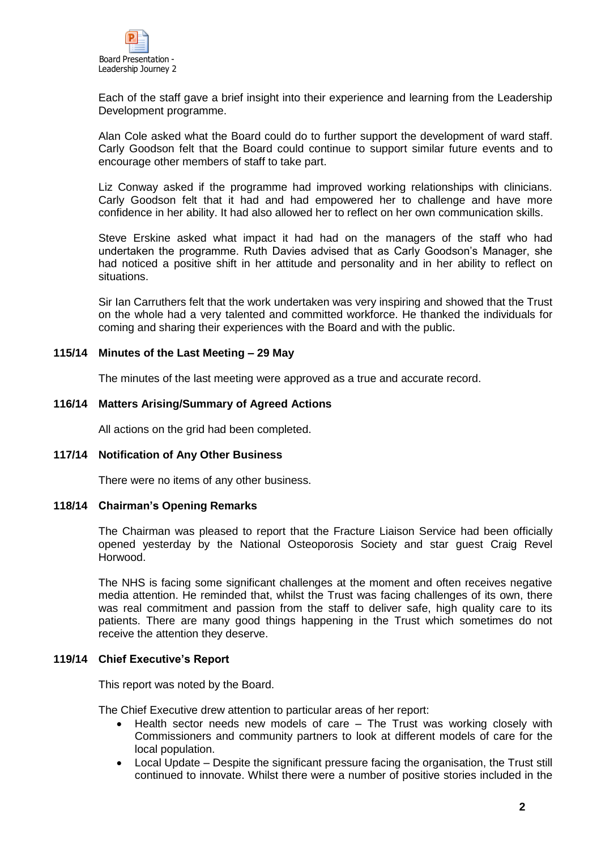

Each of the staff gave a brief insight into their experience and learning from the Leadership Development programme.

Alan Cole asked what the Board could do to further support the development of ward staff. Carly Goodson felt that the Board could continue to support similar future events and to encourage other members of staff to take part.

Liz Conway asked if the programme had improved working relationships with clinicians. Carly Goodson felt that it had and had empowered her to challenge and have more confidence in her ability. It had also allowed her to reflect on her own communication skills.

Steve Erskine asked what impact it had had on the managers of the staff who had undertaken the programme. Ruth Davies advised that as Carly Goodson's Manager, she had noticed a positive shift in her attitude and personality and in her ability to reflect on situations.

Sir Ian Carruthers felt that the work undertaken was very inspiring and showed that the Trust on the whole had a very talented and committed workforce. He thanked the individuals for coming and sharing their experiences with the Board and with the public.

### **115/14 Minutes of the Last Meeting – 29 May**

The minutes of the last meeting were approved as a true and accurate record.

### **116/14 Matters Arising/Summary of Agreed Actions**

All actions on the grid had been completed.

### **117/14 Notification of Any Other Business**

There were no items of any other business.

### **118/14 Chairman's Opening Remarks**

The Chairman was pleased to report that the Fracture Liaison Service had been officially opened yesterday by the National Osteoporosis Society and star guest Craig Revel Horwood.

The NHS is facing some significant challenges at the moment and often receives negative media attention. He reminded that, whilst the Trust was facing challenges of its own, there was real commitment and passion from the staff to deliver safe, high quality care to its patients. There are many good things happening in the Trust which sometimes do not receive the attention they deserve.

### **119/14 Chief Executive's Report**

This report was noted by the Board.

The Chief Executive drew attention to particular areas of her report:

- Health sector needs new models of care The Trust was working closely with Commissioners and community partners to look at different models of care for the local population.
- Local Update Despite the significant pressure facing the organisation, the Trust still continued to innovate. Whilst there were a number of positive stories included in the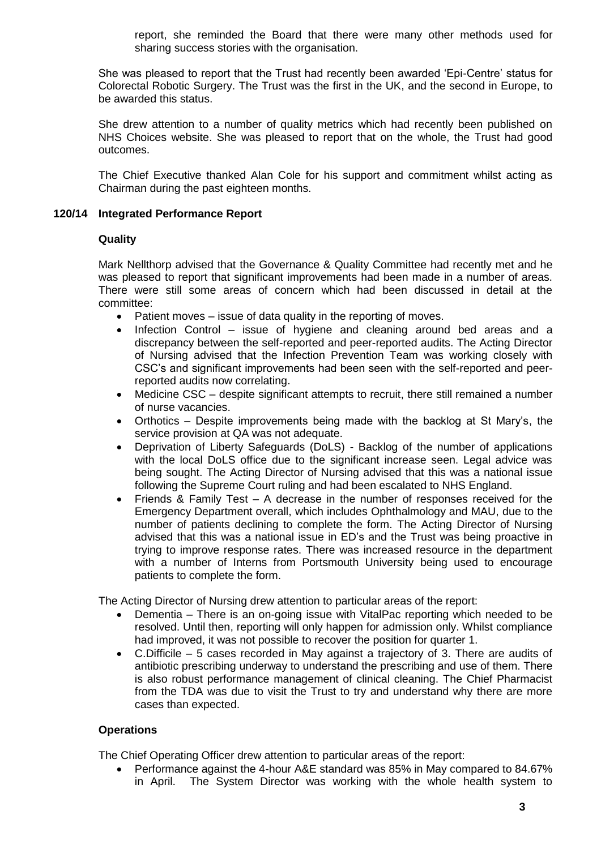report, she reminded the Board that there were many other methods used for sharing success stories with the organisation.

She was pleased to report that the Trust had recently been awarded 'Epi-Centre' status for Colorectal Robotic Surgery. The Trust was the first in the UK, and the second in Europe, to be awarded this status.

She drew attention to a number of quality metrics which had recently been published on NHS Choices website. She was pleased to report that on the whole, the Trust had good outcomes.

The Chief Executive thanked Alan Cole for his support and commitment whilst acting as Chairman during the past eighteen months.

### **120/14 Integrated Performance Report**

### **Quality**

Mark Nellthorp advised that the Governance & Quality Committee had recently met and he was pleased to report that significant improvements had been made in a number of areas. There were still some areas of concern which had been discussed in detail at the committee:

- Patient moves issue of data quality in the reporting of moves.
- Infection Control issue of hygiene and cleaning around bed areas and a discrepancy between the self-reported and peer-reported audits. The Acting Director of Nursing advised that the Infection Prevention Team was working closely with CSC's and significant improvements had been seen with the self-reported and peerreported audits now correlating.
- Medicine CSC despite significant attempts to recruit, there still remained a number of nurse vacancies.
- Orthotics Despite improvements being made with the backlog at St Mary's, the service provision at QA was not adequate.
- Deprivation of Liberty Safeguards (DoLS) Backlog of the number of applications with the local DoLS office due to the significant increase seen. Legal advice was being sought. The Acting Director of Nursing advised that this was a national issue following the Supreme Court ruling and had been escalated to NHS England.
- Friends & Family Test A decrease in the number of responses received for the Emergency Department overall, which includes Ophthalmology and MAU, due to the number of patients declining to complete the form. The Acting Director of Nursing advised that this was a national issue in ED's and the Trust was being proactive in trying to improve response rates. There was increased resource in the department with a number of Interns from Portsmouth University being used to encourage patients to complete the form.

The Acting Director of Nursing drew attention to particular areas of the report:

- Dementia There is an on-going issue with VitalPac reporting which needed to be resolved. Until then, reporting will only happen for admission only. Whilst compliance had improved, it was not possible to recover the position for quarter 1.
- C.Difficile 5 cases recorded in May against a trajectory of 3. There are audits of antibiotic prescribing underway to understand the prescribing and use of them. There is also robust performance management of clinical cleaning. The Chief Pharmacist from the TDA was due to visit the Trust to try and understand why there are more cases than expected.

# **Operations**

The Chief Operating Officer drew attention to particular areas of the report:

 Performance against the 4-hour A&E standard was 85% in May compared to 84.67% in April. The System Director was working with the whole health system to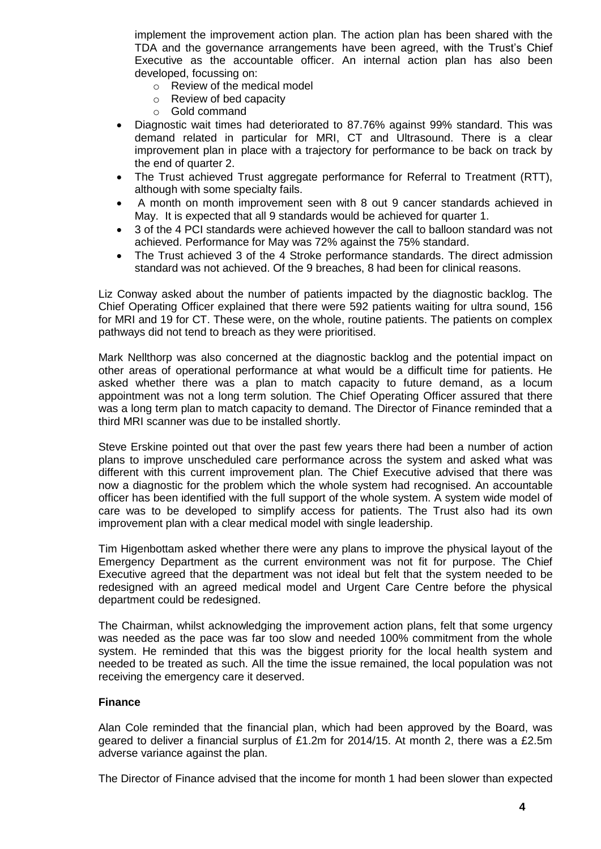implement the improvement action plan. The action plan has been shared with the TDA and the governance arrangements have been agreed, with the Trust's Chief Executive as the accountable officer. An internal action plan has also been developed, focussing on:

- o Review of the medical model
- o Review of bed capacity
- o Gold command
- Diagnostic wait times had deteriorated to 87.76% against 99% standard. This was demand related in particular for MRI, CT and Ultrasound. There is a clear improvement plan in place with a trajectory for performance to be back on track by the end of quarter 2.
- The Trust achieved Trust aggregate performance for Referral to Treatment (RTT), although with some specialty fails.
- A month on month improvement seen with 8 out 9 cancer standards achieved in May. It is expected that all 9 standards would be achieved for quarter 1.
- 3 of the 4 PCI standards were achieved however the call to balloon standard was not achieved. Performance for May was 72% against the 75% standard.
- The Trust achieved 3 of the 4 Stroke performance standards. The direct admission standard was not achieved. Of the 9 breaches, 8 had been for clinical reasons.

Liz Conway asked about the number of patients impacted by the diagnostic backlog. The Chief Operating Officer explained that there were 592 patients waiting for ultra sound, 156 for MRI and 19 for CT. These were, on the whole, routine patients. The patients on complex pathways did not tend to breach as they were prioritised.

Mark Nellthorp was also concerned at the diagnostic backlog and the potential impact on other areas of operational performance at what would be a difficult time for patients. He asked whether there was a plan to match capacity to future demand, as a locum appointment was not a long term solution. The Chief Operating Officer assured that there was a long term plan to match capacity to demand. The Director of Finance reminded that a third MRI scanner was due to be installed shortly.

Steve Erskine pointed out that over the past few years there had been a number of action plans to improve unscheduled care performance across the system and asked what was different with this current improvement plan. The Chief Executive advised that there was now a diagnostic for the problem which the whole system had recognised. An accountable officer has been identified with the full support of the whole system. A system wide model of care was to be developed to simplify access for patients. The Trust also had its own improvement plan with a clear medical model with single leadership.

Tim Higenbottam asked whether there were any plans to improve the physical layout of the Emergency Department as the current environment was not fit for purpose. The Chief Executive agreed that the department was not ideal but felt that the system needed to be redesigned with an agreed medical model and Urgent Care Centre before the physical department could be redesigned.

The Chairman, whilst acknowledging the improvement action plans, felt that some urgency was needed as the pace was far too slow and needed 100% commitment from the whole system. He reminded that this was the biggest priority for the local health system and needed to be treated as such. All the time the issue remained, the local population was not receiving the emergency care it deserved.

# **Finance**

Alan Cole reminded that the financial plan, which had been approved by the Board, was geared to deliver a financial surplus of £1.2m for 2014/15. At month 2, there was a £2.5m adverse variance against the plan.

The Director of Finance advised that the income for month 1 had been slower than expected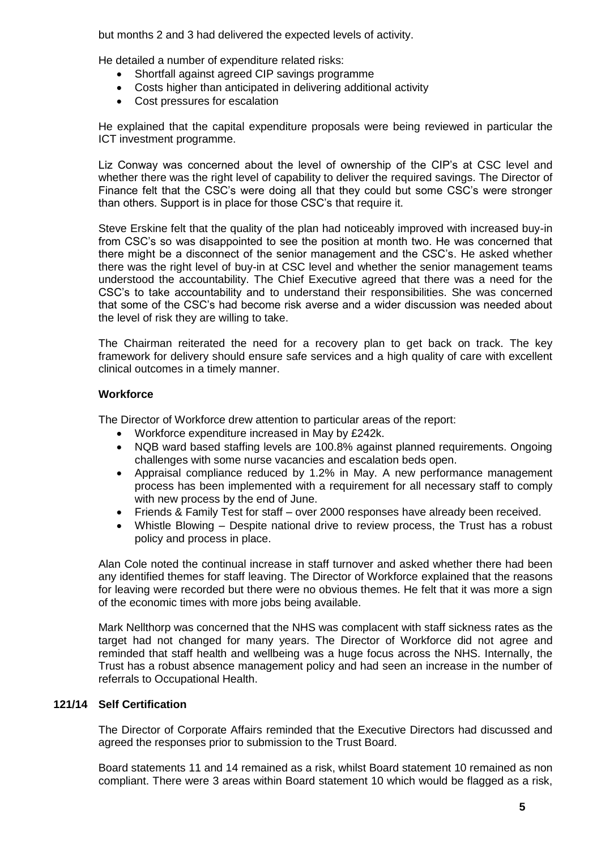but months 2 and 3 had delivered the expected levels of activity.

He detailed a number of expenditure related risks:

- Shortfall against agreed CIP savings programme
- Costs higher than anticipated in delivering additional activity
- Cost pressures for escalation

He explained that the capital expenditure proposals were being reviewed in particular the ICT investment programme.

Liz Conway was concerned about the level of ownership of the CIP's at CSC level and whether there was the right level of capability to deliver the required savings. The Director of Finance felt that the CSC's were doing all that they could but some CSC's were stronger than others. Support is in place for those CSC's that require it.

Steve Erskine felt that the quality of the plan had noticeably improved with increased buy-in from CSC's so was disappointed to see the position at month two. He was concerned that there might be a disconnect of the senior management and the CSC's. He asked whether there was the right level of buy-in at CSC level and whether the senior management teams understood the accountability. The Chief Executive agreed that there was a need for the CSC's to take accountability and to understand their responsibilities. She was concerned that some of the CSC's had become risk averse and a wider discussion was needed about the level of risk they are willing to take.

The Chairman reiterated the need for a recovery plan to get back on track. The key framework for delivery should ensure safe services and a high quality of care with excellent clinical outcomes in a timely manner.

# **Workforce**

The Director of Workforce drew attention to particular areas of the report:

- Workforce expenditure increased in May by £242k.
- NQB ward based staffing levels are 100.8% against planned requirements. Ongoing challenges with some nurse vacancies and escalation beds open.
- Appraisal compliance reduced by 1.2% in May. A new performance management process has been implemented with a requirement for all necessary staff to comply with new process by the end of June.
- Friends & Family Test for staff over 2000 responses have already been received.
- Whistle Blowing Despite national drive to review process, the Trust has a robust policy and process in place.

Alan Cole noted the continual increase in staff turnover and asked whether there had been any identified themes for staff leaving. The Director of Workforce explained that the reasons for leaving were recorded but there were no obvious themes. He felt that it was more a sign of the economic times with more jobs being available.

Mark Nellthorp was concerned that the NHS was complacent with staff sickness rates as the target had not changed for many years. The Director of Workforce did not agree and reminded that staff health and wellbeing was a huge focus across the NHS. Internally, the Trust has a robust absence management policy and had seen an increase in the number of referrals to Occupational Health.

# **121/14 Self Certification**

The Director of Corporate Affairs reminded that the Executive Directors had discussed and agreed the responses prior to submission to the Trust Board.

Board statements 11 and 14 remained as a risk, whilst Board statement 10 remained as non compliant. There were 3 areas within Board statement 10 which would be flagged as a risk,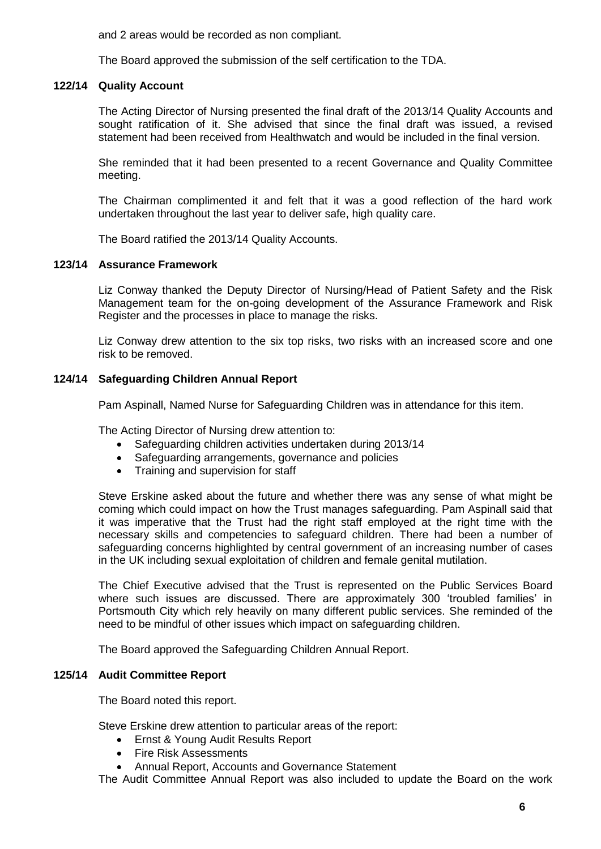and 2 areas would be recorded as non compliant.

The Board approved the submission of the self certification to the TDA.

# **122/14 Quality Account**

The Acting Director of Nursing presented the final draft of the 2013/14 Quality Accounts and sought ratification of it. She advised that since the final draft was issued, a revised statement had been received from Healthwatch and would be included in the final version.

She reminded that it had been presented to a recent Governance and Quality Committee meeting.

The Chairman complimented it and felt that it was a good reflection of the hard work undertaken throughout the last year to deliver safe, high quality care.

The Board ratified the 2013/14 Quality Accounts.

### **123/14 Assurance Framework**

Liz Conway thanked the Deputy Director of Nursing/Head of Patient Safety and the Risk Management team for the on-going development of the Assurance Framework and Risk Register and the processes in place to manage the risks.

Liz Conway drew attention to the six top risks, two risks with an increased score and one risk to be removed.

### **124/14 Safeguarding Children Annual Report**

Pam Aspinall, Named Nurse for Safeguarding Children was in attendance for this item.

The Acting Director of Nursing drew attention to:

- Safeguarding children activities undertaken during 2013/14
- Safeguarding arrangements, governance and policies
- Training and supervision for staff

Steve Erskine asked about the future and whether there was any sense of what might be coming which could impact on how the Trust manages safeguarding. Pam Aspinall said that it was imperative that the Trust had the right staff employed at the right time with the necessary skills and competencies to safeguard children. There had been a number of safeguarding concerns highlighted by central government of an increasing number of cases in the UK including sexual exploitation of children and female genital mutilation.

The Chief Executive advised that the Trust is represented on the Public Services Board where such issues are discussed. There are approximately 300 'troubled families' in Portsmouth City which rely heavily on many different public services. She reminded of the need to be mindful of other issues which impact on safeguarding children.

The Board approved the Safeguarding Children Annual Report.

### **125/14 Audit Committee Report**

The Board noted this report.

Steve Erskine drew attention to particular areas of the report:

- Ernst & Young Audit Results Report
- Fire Risk Assessments
- Annual Report, Accounts and Governance Statement

The Audit Committee Annual Report was also included to update the Board on the work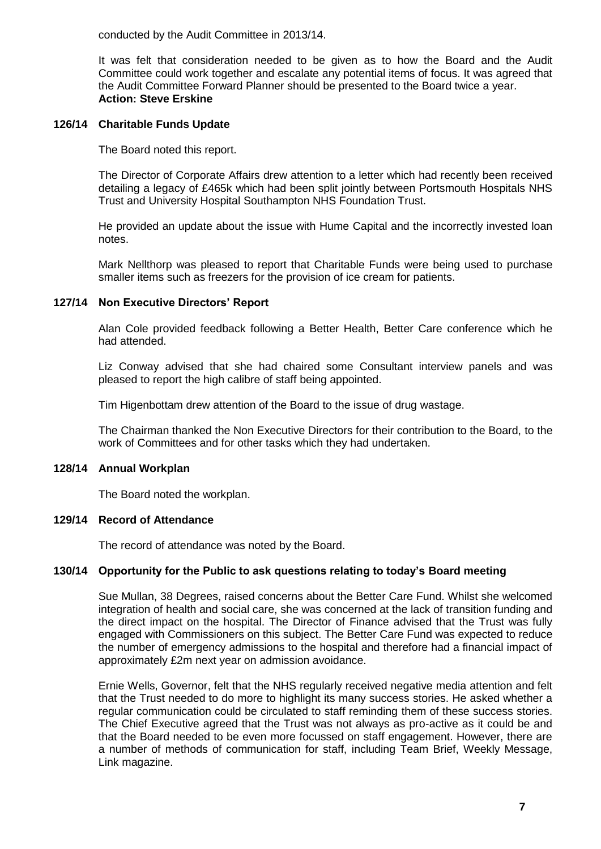conducted by the Audit Committee in 2013/14.

It was felt that consideration needed to be given as to how the Board and the Audit Committee could work together and escalate any potential items of focus. It was agreed that the Audit Committee Forward Planner should be presented to the Board twice a year. **Action: Steve Erskine**

### **126/14 Charitable Funds Update**

The Board noted this report.

The Director of Corporate Affairs drew attention to a letter which had recently been received detailing a legacy of £465k which had been split jointly between Portsmouth Hospitals NHS Trust and University Hospital Southampton NHS Foundation Trust.

He provided an update about the issue with Hume Capital and the incorrectly invested loan notes.

Mark Nellthorp was pleased to report that Charitable Funds were being used to purchase smaller items such as freezers for the provision of ice cream for patients.

### **127/14 Non Executive Directors' Report**

Alan Cole provided feedback following a Better Health, Better Care conference which he had attended.

Liz Conway advised that she had chaired some Consultant interview panels and was pleased to report the high calibre of staff being appointed.

Tim Higenbottam drew attention of the Board to the issue of drug wastage.

The Chairman thanked the Non Executive Directors for their contribution to the Board, to the work of Committees and for other tasks which they had undertaken.

### **128/14 Annual Workplan**

The Board noted the workplan.

### **129/14 Record of Attendance**

The record of attendance was noted by the Board.

### **130/14 Opportunity for the Public to ask questions relating to today's Board meeting**

Sue Mullan, 38 Degrees, raised concerns about the Better Care Fund. Whilst she welcomed integration of health and social care, she was concerned at the lack of transition funding and the direct impact on the hospital. The Director of Finance advised that the Trust was fully engaged with Commissioners on this subject. The Better Care Fund was expected to reduce the number of emergency admissions to the hospital and therefore had a financial impact of approximately £2m next year on admission avoidance.

Ernie Wells, Governor, felt that the NHS regularly received negative media attention and felt that the Trust needed to do more to highlight its many success stories. He asked whether a regular communication could be circulated to staff reminding them of these success stories. The Chief Executive agreed that the Trust was not always as pro-active as it could be and that the Board needed to be even more focussed on staff engagement. However, there are a number of methods of communication for staff, including Team Brief, Weekly Message, Link magazine.